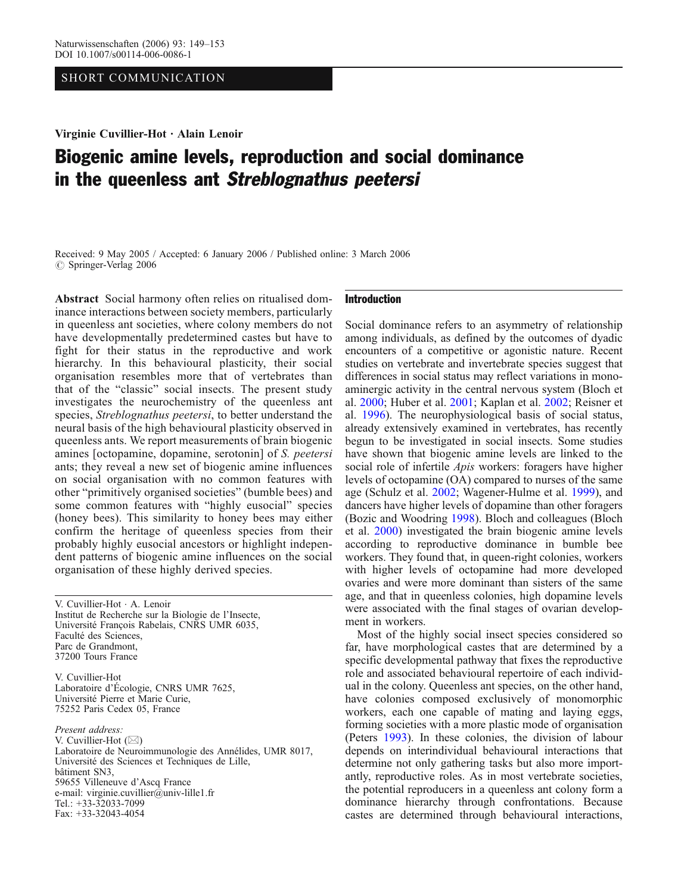## SHORT COMMUNICATION

Virginie Cuvillier-Hot . Alain Lenoir

# Biogenic amine levels, reproduction and social dominance in the queenless ant Streblognathus peetersi

Received: 9 May 2005 / Accepted: 6 January 2006 / Published online: 3 March 2006  $\circ$  Springer-Verlag 2006

Abstract Social harmony often relies on ritualised dominance interactions between society members, particularly in queenless ant societies, where colony members do not have developmentally predetermined castes but have to fight for their status in the reproductive and work hierarchy. In this behavioural plasticity, their social organisation resembles more that of vertebrates than that of the "classic" social insects. The present study investigates the neurochemistry of the queenless ant species, Streblognathus peetersi, to better understand the neural basis of the high behavioural plasticity observed in queenless ants. We report measurements of brain biogenic amines [octopamine, dopamine, serotonin] of S. peetersi ants; they reveal a new set of biogenic amine influences on social organisation with no common features with other "primitively organised societies" (bumble bees) and some common features with "highly eusocial" species (honey bees). This similarity to honey bees may either confirm the heritage of queenless species from their probably highly eusocial ancestors or highlight independent patterns of biogenic amine influences on the social organisation of these highly derived species.

V. Cuvillier-Hot . A. Lenoir Institut de Recherche sur la Biologie de l'Insecte, Université François Rabelais, CNRS UMR 6035, Faculté des Sciences, Parc de Grandmont, 37200 Tours France

V. Cuvillier-Hot Laboratoire d'Écologie, CNRS UMR 7625, Université Pierre et Marie Curie, 75252 Paris Cedex 05, France

Present address: V. Cuvillier-Hot (*\**) Laboratoire de Neuroimmunologie des Annélides, UMR 8017, Université des Sciences et Techniques de Lille, bâtiment SN3, 59655 Villeneuve d*'*Ascq France e-mail: virginie.cuvillier@univ-lille1.fr Tel.: +33-32033-7099 Fax: +33-32043-4054

## Introduction

Social dominance refers to an asymmetry of relationship among individuals, as defined by the outcomes of dyadic encounters of a competitive or agonistic nature. Recent studies on vertebrate and invertebrate species suggest that differences in social status may reflect variations in monoaminergic activity in the central nervous system (Bloch et al. [2000](#page-3-0); Huber et al. [2001](#page-4-0); Kaplan et al. [2002](#page-4-0); Reisner et al. [1996\)](#page-4-0). The neurophysiological basis of social status, already extensively examined in vertebrates, has recently begun to be investigated in social insects. Some studies have shown that biogenic amine levels are linked to the social role of infertile *Apis* workers: foragers have higher levels of octopamine (OA) compared to nurses of the same age (Schulz et al. [2002;](#page-4-0) Wagener-Hulme et al. [1999\)](#page-4-0), and dancers have higher levels of dopamine than other foragers (Bozic and Woodring [1998](#page-3-0)). Bloch and colleagues (Bloch et al. [2000\)](#page-3-0) investigated the brain biogenic amine levels according to reproductive dominance in bumble bee workers. They found that, in queen-right colonies, workers with higher levels of octopamine had more developed ovaries and were more dominant than sisters of the same age, and that in queenless colonies, high dopamine levels were associated with the final stages of ovarian development in workers.

Most of the highly social insect species considered so far, have morphological castes that are determined by a specific developmental pathway that fixes the reproductive role and associated behavioural repertoire of each individual in the colony. Queenless ant species, on the other hand, have colonies composed exclusively of monomorphic workers, each one capable of mating and laying eggs, forming societies with a more plastic mode of organisation (Peters [1993\)](#page-4-0). In these colonies, the division of labour depends on interindividual behavioural interactions that determine not only gathering tasks but also more importantly, reproductive roles. As in most vertebrate societies, the potential reproducers in a queenless ant colony form a dominance hierarchy through confrontations. Because castes are determined through behavioural interactions,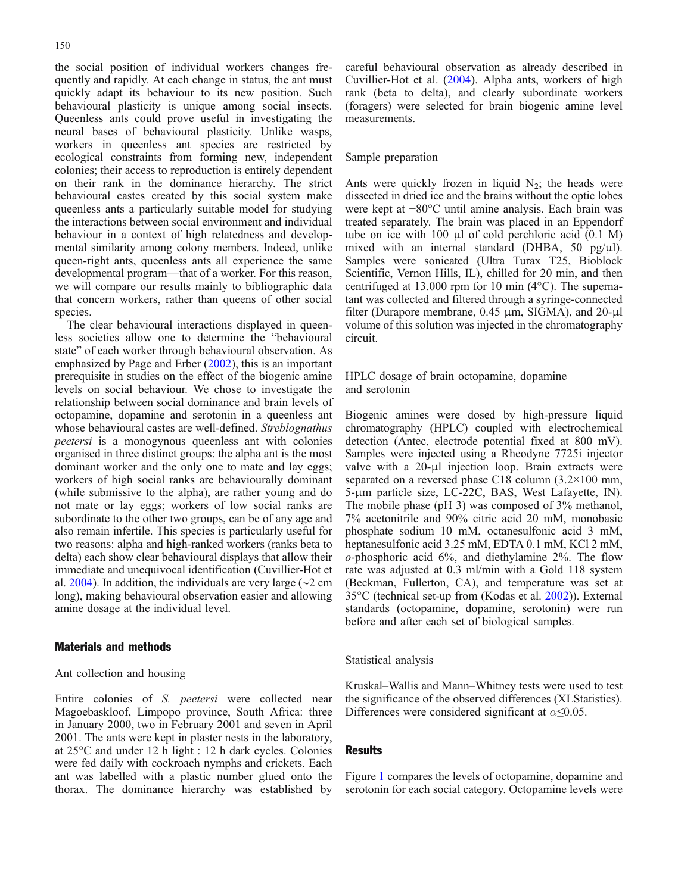the social position of individual workers changes frequently and rapidly. At each change in status, the ant must quickly adapt its behaviour to its new position. Such behavioural plasticity is unique among social insects. Queenless ants could prove useful in investigating the neural bases of behavioural plasticity. Unlike wasps, workers in queenless ant species are restricted by ecological constraints from forming new, independent colonies; their access to reproduction is entirely dependent on their rank in the dominance hierarchy. The strict behavioural castes created by this social system make queenless ants a particularly suitable model for studying the interactions between social environment and individual behaviour in a context of high relatedness and developmental similarity among colony members. Indeed, unlike queen-right ants, queenless ants all experience the same developmental program—that of a worker. For this reason, we will compare our results mainly to bibliographic data that concern workers, rather than queens of other social species.

The clear behavioural interactions displayed in queenless societies allow one to determine the "behavioural state" of each worker through behavioural observation. As emphasized by Page and Erber [\(2002](#page-4-0)), this is an important prerequisite in studies on the effect of the biogenic amine levels on social behaviour. We chose to investigate the relationship between social dominance and brain levels of octopamine, dopamine and serotonin in a queenless ant whose behavioural castes are well-defined. Streblognathus peetersi is a monogynous queenless ant with colonies organised in three distinct groups: the alpha ant is the most dominant worker and the only one to mate and lay eggs; workers of high social ranks are behaviourally dominant (while submissive to the alpha), are rather young and do not mate or lay eggs; workers of low social ranks are subordinate to the other two groups, can be of any age and also remain infertile. This species is particularly useful for two reasons: alpha and high-ranked workers (ranks beta to delta) each show clear behavioural displays that allow their immediate and unequivocal identification (Cuvillier-Hot et al. [2004\)](#page-3-0). In addition, the individuals are very large (∼2 cm long), making behavioural observation easier and allowing amine dosage at the individual level.

## Materials and methods

Ant collection and housing

Entire colonies of S. peetersi were collected near Magoebaskloof, Limpopo province, South Africa: three in January 2000, two in February 2001 and seven in April 2001. The ants were kept in plaster nests in the laboratory, at 25°C and under 12 h light : 12 h dark cycles. Colonies were fed daily with cockroach nymphs and crickets. Each ant was labelled with a plastic number glued onto the thorax. The dominance hierarchy was established by

careful behavioural observation as already described in Cuvillier-Hot et al. ([2004\)](#page-3-0). Alpha ants, workers of high rank (beta to delta), and clearly subordinate workers (foragers) were selected for brain biogenic amine level measurements.

#### Sample preparation

Ants were quickly frozen in liquid  $N_2$ ; the heads were dissected in dried ice and the brains without the optic lobes were kept at −80°C until amine analysis. Each brain was treated separately. The brain was placed in an Eppendorf tube on ice with 100 μl of cold perchloric acid (0.1 M) mixed with an internal standard (DHBA, 50 pg/ $\mu$ l). Samples were sonicated (Ultra Turax T25, Bioblock Scientific, Vernon Hills, IL), chilled for 20 min, and then centrifuged at 13.000 rpm for 10 min (4°C). The supernatant was collected and filtered through a syringe-connected filter (Durapore membrane, 0.45 μm, SIGMA), and 20-μl volume of this solution was injected in the chromatography circuit.

HPLC dosage of brain octopamine, dopamine and serotonin

Biogenic amines were dosed by high-pressure liquid chromatography (HPLC) coupled with electrochemical detection (Antec, electrode potential fixed at 800 mV). Samples were injected using a Rheodyne 7725i injector valve with a 20-μl injection loop. Brain extracts were separated on a reversed phase C18 column (3.2×100 mm, 5-μm particle size, LC-22C, BAS, West Lafayette, IN). The mobile phase (pH 3) was composed of 3% methanol, 7% acetonitrile and 90% citric acid 20 mM, monobasic phosphate sodium 10 mM, octanesulfonic acid 3 mM, heptanesulfonic acid 3.25 mM, EDTA 0.1 mM, KCl 2 mM, o-phosphoric acid 6%, and diethylamine 2%. The flow rate was adjusted at 0.3 ml/min with a Gold 118 system (Beckman, Fullerton, CA), and temperature was set at 35°C (technical set-up from (Kodas et al. [2002\)](#page-4-0)). External standards (octopamine, dopamine, serotonin) were run before and after each set of biological samples.

Statistical analysis

Kruskal–Wallis and Mann–Whitney tests were used to test the significance of the observed differences (XLStatistics). Differences were considered significant at  $\alpha \leq 0.05$ .

### **Results**

Figure [1](#page-2-0) compares the levels of octopamine, dopamine and serotonin for each social category. Octopamine levels were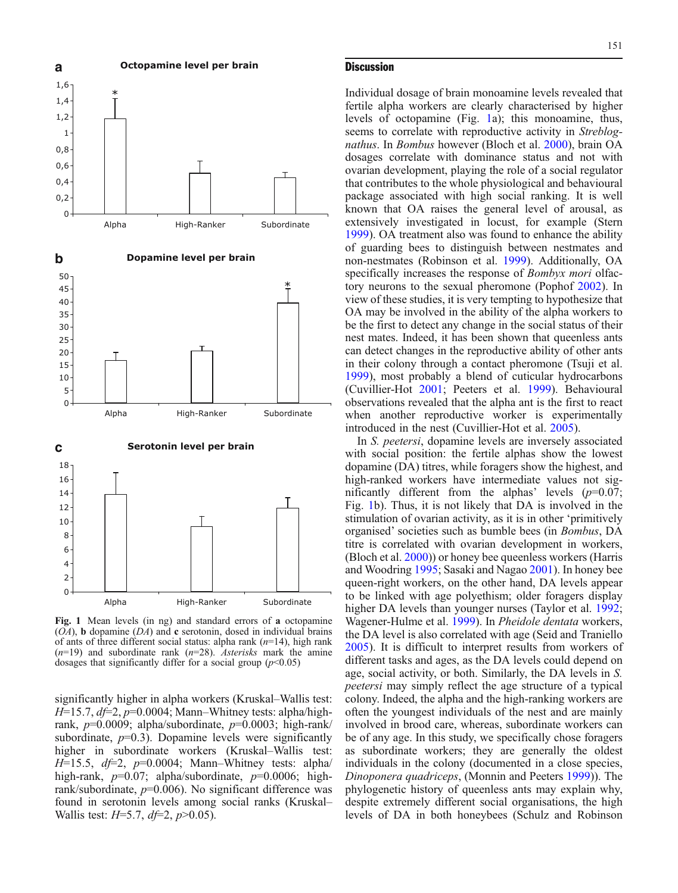<span id="page-2-0"></span>

Fig. 1 Mean levels (in ng) and standard errors of a octopamine  $(OA)$ , b dopamine  $(DA)$  and c serotonin, dosed in individual brains of ants of three different social status: alpha rank  $(n=14)$ , high rank  $(n=19)$  and subordinate rank  $(n=28)$ . Asterisks mark the amine dosages that significantly differ for a social group  $(p<0.05)$ 

significantly higher in alpha workers (Kruskal–Wallis test:  $H=15.7$ ,  $df=2$ ,  $p=0.0004$ ; Mann–Whitney tests: alpha/highrank,  $p=0.0009$ ; alpha/subordinate,  $p=0.0003$ ; high-rank/ subordinate,  $p=0.3$ ). Dopamine levels were significantly higher in subordinate workers (Kruskal–Wallis test:  $H=15.5$ ,  $df=2$ ,  $p=0.0004$ ; Mann–Whitney tests: alpha/ high-rank,  $p=0.07$ ; alpha/subordinate,  $p=0.0006$ ; highrank/subordinate,  $p=0.006$ ). No significant difference was found in serotonin levels among social ranks (Kruskal– Wallis test:  $H=5.7$ ,  $df=2$ ,  $p>0.05$ ).

#### **Discussion**

Individual dosage of brain monoamine levels revealed that fertile alpha workers are clearly characterised by higher levels of octopamine (Fig. 1a); this monoamine, thus, seems to correlate with reproductive activity in Streblognathus. In Bombus however (Bloch et al. [2000\)](#page-3-0), brain OA dosages correlate with dominance status and not with ovarian development, playing the role of a social regulator that contributes to the whole physiological and behavioural package associated with high social ranking. It is well known that OA raises the general level of arousal, as extensively investigated in locust, for example (Stern [1999](#page-4-0)). OA treatment also was found to enhance the ability of guarding bees to distinguish between nestmates and non-nestmates (Robinson et al. [1999\)](#page-4-0). Additionally, OA specifically increases the response of *Bombyx mori* olfactory neurons to the sexual pheromone (Pophof [2002\)](#page-4-0). In view of these studies, it is very tempting to hypothesize that OA may be involved in the ability of the alpha workers to be the first to detect any change in the social status of their nest mates. Indeed, it has been shown that queenless ants can detect changes in the reproductive ability of other ants in their colony through a contact pheromone (Tsuji et al. [1999](#page-4-0)), most probably a blend of cuticular hydrocarbons (Cuvillier-Hot [2001](#page-3-0); Peeters et al. [1999](#page-4-0)). Behavioural observations revealed that the alpha ant is the first to react when another reproductive worker is experimentally introduced in the nest (Cuvillier-Hot et al. [2005](#page-3-0)).

In S. peetersi, dopamine levels are inversely associated with social position: the fertile alphas show the lowest dopamine (DA) titres, while foragers show the highest, and high-ranked workers have intermediate values not significantly different from the alphas' levels  $(p=0.07)$ ; Fig. 1b). Thus, it is not likely that DA is involved in the stimulation of ovarian activity, as it is in other 'primitively organised' societies such as bumble bees (in Bombus, DA titre is correlated with ovarian development in workers, (Bloch et al. [2000](#page-3-0))) or honey bee queenless workers (Harris and Woodring [1995;](#page-4-0) Sasaki and Nagao [2001](#page-4-0)). In honey bee queen-right workers, on the other hand, DA levels appear to be linked with age polyethism; older foragers display higher DA levels than younger nurses (Taylor et al. [1992](#page-4-0); Wagener-Hulme et al. [1999\)](#page-4-0). In Pheidole dentata workers, the DA level is also correlated with age (Seid and Traniello [2005](#page-4-0)). It is difficult to interpret results from workers of different tasks and ages, as the DA levels could depend on age, social activity, or both. Similarly, the DA levels in S. peetersi may simply reflect the age structure of a typical colony. Indeed, the alpha and the high-ranking workers are often the youngest individuals of the nest and are mainly involved in brood care, whereas, subordinate workers can be of any age. In this study, we specifically chose foragers as subordinate workers; they are generally the oldest individuals in the colony (documented in a close species, Dinoponera quadriceps, (Monnin and Peeters [1999\)](#page-4-0)). The phylogenetic history of queenless ants may explain why, despite extremely different social organisations, the high levels of DA in both honeybees (Schulz and Robinson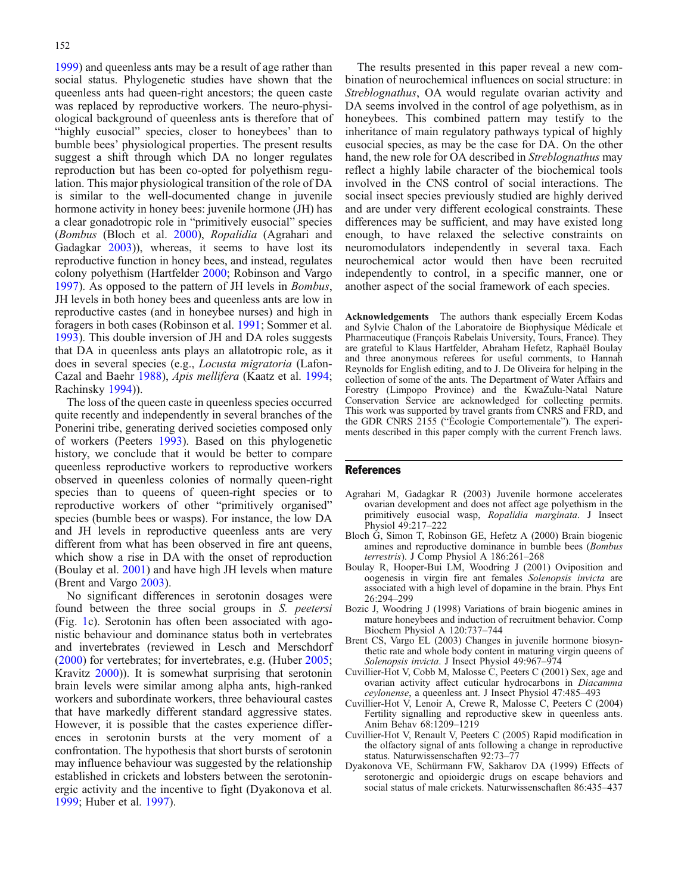<span id="page-3-0"></span>[1999](#page-4-0)) and queenless ants may be a result of age rather than social status. Phylogenetic studies have shown that the queenless ants had queen-right ancestors; the queen caste was replaced by reproductive workers. The neuro-physiological background of queenless ants is therefore that of "highly eusocial" species, closer to honeybees' than to bumble bees' physiological properties. The present results suggest a shift through which DA no longer regulates reproduction but has been co-opted for polyethism regulation. This major physiological transition of the role of DA is similar to the well-documented change in juvenile hormone activity in honey bees: juvenile hormone (JH) has a clear gonadotropic role in "primitively eusocial" species (Bombus (Bloch et al. 2000), Ropalidia (Agrahari and Gadagkar 2003)), whereas, it seems to have lost its reproductive function in honey bees, and instead, regulates colony polyethism (Hartfelder [2000](#page-4-0); Robinson and Vargo [1997](#page-4-0)). As opposed to the pattern of JH levels in Bombus, JH levels in both honey bees and queenless ants are low in reproductive castes (and in honeybee nurses) and high in foragers in both cases (Robinson et al. [1991](#page-4-0); Sommer et al. [1993](#page-4-0)). This double inversion of JH and DA roles suggests that DA in queenless ants plays an allatotropic role, as it does in several species (e.g., Locusta migratoria (Lafon-Cazal and Baehr [1988](#page-4-0)), Apis mellifera (Kaatz et al. [1994](#page-4-0); Rachinsky [1994](#page-4-0))).

The loss of the queen caste in queenless species occurred quite recently and independently in several branches of the Ponerini tribe, generating derived societies composed only of workers (Peeters [1993](#page-4-0)). Based on this phylogenetic history, we conclude that it would be better to compare queenless reproductive workers to reproductive workers observed in queenless colonies of normally queen-right species than to queens of queen-right species or to reproductive workers of other "primitively organised" species (bumble bees or wasps). For instance, the low DA and JH levels in reproductive queenless ants are very different from what has been observed in fire ant queens, which show a rise in DA with the onset of reproduction (Boulay et al. 2001) and have high JH levels when mature (Brent and Vargo 2003).

No significant differences in serotonin dosages were found between the three social groups in S. peetersi (Fig. [1](#page-2-0)c). Serotonin has often been associated with agonistic behaviour and dominance status both in vertebrates and invertebrates (reviewed in Lesch and Merschdorf ([2000\)](#page-4-0) for vertebrates; for invertebrates, e.g. (Huber [2005](#page-4-0); Kravitz [2000\)](#page-4-0)). It is somewhat surprising that serotonin brain levels were similar among alpha ants, high-ranked workers and subordinate workers, three behavioural castes that have markedly different standard aggressive states. However, it is possible that the castes experience differences in serotonin bursts at the very moment of a confrontation. The hypothesis that short bursts of serotonin may influence behaviour was suggested by the relationship established in crickets and lobsters between the serotoninergic activity and the incentive to fight (Dyakonova et al. 1999; Huber et al. [1997\)](#page-4-0).

The results presented in this paper reveal a new combination of neurochemical influences on social structure: in Streblognathus, OA would regulate ovarian activity and DA seems involved in the control of age polyethism, as in honeybees. This combined pattern may testify to the inheritance of main regulatory pathways typical of highly eusocial species, as may be the case for DA. On the other hand, the new role for OA described in *Streblognathus* may reflect a highly labile character of the biochemical tools involved in the CNS control of social interactions. The social insect species previously studied are highly derived and are under very different ecological constraints. These differences may be sufficient, and may have existed long enough, to have relaxed the selective constraints on neuromodulators independently in several taxa. Each neurochemical actor would then have been recruited independently to control, in a specific manner, one or another aspect of the social framework of each species.

Acknowledgements The authors thank especially Ercem Kodas and Sylvie Chalon of the Laboratoire de Biophysique Médicale et Pharmaceutique (François Rabelais University, Tours, France). They are grateful to Klaus Hartfelder, Abraham Hefetz, Raphaël Boulay and three anonymous referees for useful comments, to Hannah Reynolds for English editing, and to J. De Oliveira for helping in the collection of some of the ants. The Department of Water Affairs and Forestry (Limpopo Province) and the KwaZulu-Natal Nature Conservation Service are acknowledged for collecting permits. This work was supported by travel grants from CNRS and FRD, and the GDR CNRS 2155 ("Écologie Comportementale"). The experiments described in this paper comply with the current French laws.

#### References

- Agrahari M, Gadagkar R (2003) Juvenile hormone accelerates ovarian development and does not affect age polyethism in the primitively eusocial wasp, Ropalidia marginata. J Insect Physiol 49:217–222
- Bloch G, Simon T, Robinson GE, Hefetz A (2000) Brain biogenic amines and reproductive dominance in bumble bees (Bombus terrestris). J Comp Physiol A 186:261–268
- Boulay R, Hooper-Bui LM, Woodring J (2001) Oviposition and oogenesis in virgin fire ant females Solenopsis invicta are associated with a high level of dopamine in the brain. Phys Ent 26:294–299
- Bozic J, Woodring J (1998) Variations of brain biogenic amines in mature honeybees and induction of recruitment behavior. Comp Biochem Physiol A 120:737–744
- Brent CS, Vargo EL (2003) Changes in juvenile hormone biosynthetic rate and whole body content in maturing virgin queens of Solenopsis invicta. J Insect Physiol 49:967–974
- Cuvillier-Hot V, Cobb M, Malosse C, Peeters C (2001) Sex, age and ovarian activity affect cuticular hydrocarbons in Diacamma ceylonense, a queenless ant. J Insect Physiol 47:485–493
- Cuvillier-Hot V, Lenoir A, Crewe R, Malosse C, Peeters C (2004) Fertility signalling and reproductive skew in queenless ants. Anim Behav 68:1209–1219
- Cuvillier-Hot V, Renault V, Peeters C (2005) Rapid modification in the olfactory signal of ants following a change in reproductive status. Naturwissenschaften 92:73–77
- Dyakonova VE, Schürmann FW, Sakharov DA (1999) Effects of serotonergic and opioidergic drugs on escape behaviors and social status of male crickets. Naturwissenschaften 86:435–437